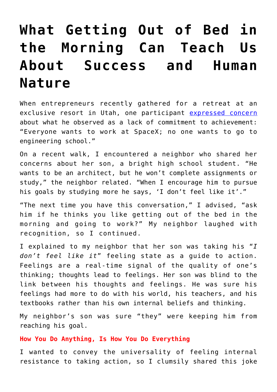## **[What Getting Out of Bed in](https://intellectualtakeout.org/2018/05/what-getting-out-of-bed-in-the-morning-can-teach-us-about-success-and-human-nature/) [the Morning Can Teach Us](https://intellectualtakeout.org/2018/05/what-getting-out-of-bed-in-the-morning-can-teach-us-about-success-and-human-nature/) [About Success and Human](https://intellectualtakeout.org/2018/05/what-getting-out-of-bed-in-the-morning-can-teach-us-about-success-and-human-nature/) [Nature](https://intellectualtakeout.org/2018/05/what-getting-out-of-bed-in-the-morning-can-teach-us-about-success-and-human-nature/)**

When entrepreneurs recently gathered for a retreat at an exclusive resort in Utah, one participant [expressed concern](https://www.theguardian.com/technology/2018/mar/16/powder-mountain-ski-resort-summit-elite-club-rich-millennials) about what he observed as a lack of commitment to achievement: "Everyone wants to work at SpaceX; no one wants to go to engineering school."

On a recent walk, I encountered a neighbor who shared her concerns about her son, a bright high school student. "He wants to be an architect, but he won't complete assignments or study," the neighbor related. "When I encourage him to pursue his goals by studying more he says, 'I don't feel like it'."

"The next time you have this conversation," I advised, "ask him if he thinks you like getting out of the bed in the morning and going to work?" My neighbor laughed with recognition, so I continued.

I explained to my neighbor that her son was taking his "*I don't feel like it*" feeling state as a guide to action. Feelings are a real-time signal of the quality of one's thinking; thoughts lead to feelings. Her son was blind to the link between his thoughts and feelings. He was sure his feelings had more to do with his world, his teachers, and his textbooks rather than his own internal beliefs and thinking.

My neighbor's son was sure "they" were keeping him from reaching his goal.

## **How You Do Anything, Is How You Do Everything**

I wanted to convey the universality of feeling internal resistance to taking action, so I clumsily shared this joke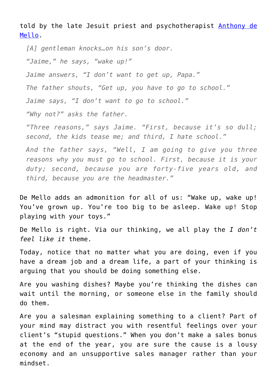told by the late Jesuit priest and psychotherapist [Anthony de](http://demellospirituality.com/awareness/37.html) [Mello](http://demellospirituality.com/awareness/37.html).

*[A] gentleman knocks…on his son's door. "Jaime," he says, "wake up!" Jaime answers, "I don't want to get up, Papa." The father shouts, "Get up, you have to go to school." Jaime says, "I don't want to go to school." "Why not?" asks the father.*

*"Three reasons," says Jaime. "First, because it's so dull; second, the kids tease me; and third, I hate school."*

*And the father says, "Well, I am going to give you three reasons why you must go to school. First, because it is your duty; second, because you are forty-five years old, and third, because you are the headmaster."*

De Mello adds an admonition for all of us: "Wake up, wake up! You've grown up. You're too big to be asleep. Wake up! Stop playing with your toys."

De Mello is right. Via our thinking, we all play the *I don't feel like it* theme.

Today, notice that no matter what you are doing, even if you have a dream job and a dream life, a part of your thinking is arguing that you should be doing something else.

Are you washing dishes? Maybe you're thinking the dishes can wait until the morning, or someone else in the family should do them.

Are you a salesman explaining something to a client? Part of your mind may distract you with resentful feelings over your client's "stupid questions." When you don't make a sales bonus at the end of the year, you are sure the cause is a lousy economy and an unsupportive sales manager rather than your mindset.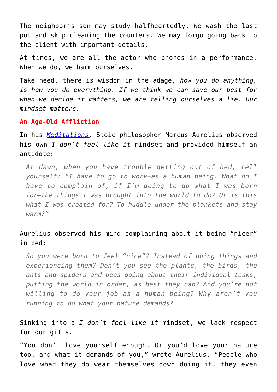The neighbor's son may study halfheartedly. We wash the last pot and skip cleaning the counters. We may forgo going back to the client with important details.

At times, we are all the actor who phones in a performance. When we do, we harm ourselves.

Take heed, there is wisdom in the adage, *how you do anything, is how you do everything. If we think we can save our best for when we decide it matters, we are telling ourselves a lie. Our mindset matters.*

## **An Age-Old Affliction**

In his *[Meditations,](https://amzn.to/2GDOROH)* Stoic philosopher Marcus Aurelius observed his own *I don't feel like it* mindset and provided himself an antidote:

*At dawn, when you have trouble getting out of bed, tell yourself: "I have to go to work—as a human being. What do I have to complain of, if I'm going to do what I was born for—the things I was brought into the world to do? Or is this what I was created for? To huddle under the blankets and stay warm?"*

## Aurelius observed his mind complaining about it being "nicer" in bed:

*So you were born to feel "nice"? Instead of doing things and experiencing them? Don't you see the plants, the birds, the ants and spiders and bees going about their individual tasks, putting the world in order, as best they can? And you're not willing to do your job as a human being? Why aren't you running to do what your nature demands?*

Sinking into a *I don't feel like it* mindset, we lack respect for our gifts.

"You don't love yourself enough. Or you'd love your nature too, and what it demands of you," wrote Aurelius. "People who love what they do wear themselves down doing it, they even